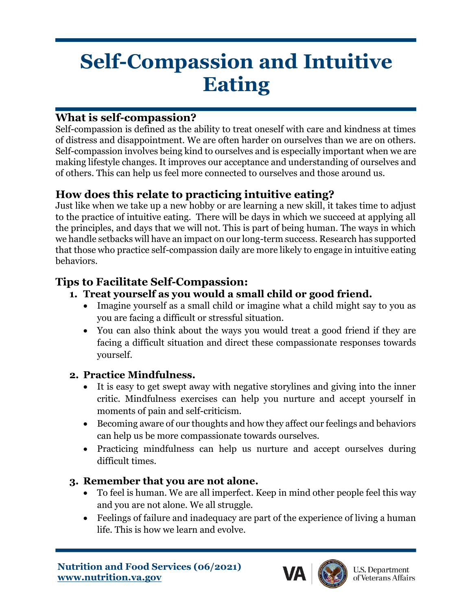# **Self-Compassion and Intuitive Eating**

## **What is self-compassion?**

Self-compassion is defined as the ability to treat oneself with care and kindness at times of distress and disappointment. We are often harder on ourselves than we are on others. Self-compassion involves being kind to ourselves and is especially important when we are making lifestyle changes. It improves our acceptance and understanding of ourselves and of others. This can help us feel more connected to ourselves and those around us.

## **How does this relate to practicing intuitive eating?**

Just like when we take up a new hobby or are learning a new skill, it takes time to adjust to the practice of intuitive eating. There will be days in which we succeed at applying all the principles, and days that we will not. This is part of being human. The ways in which we handle setbacks will have an impact on our long-term success. Research has supported that those who practice self-compassion daily are more likely to engage in intuitive eating behaviors.

## **Tips to Facilitate Self-Compassion:**

- **1. Treat yourself as you would a small child or good friend.**
	- Imagine yourself as a small child or imagine what a child might say to you as you are facing a difficult or stressful situation.
	- You can also think about the ways you would treat a good friend if they are facing a difficult situation and direct these compassionate responses towards yourself.

#### **2. Practice Mindfulness.**

- It is easy to get swept away with negative storylines and giving into the inner critic. Mindfulness exercises can help you nurture and accept yourself in moments of pain and self-criticism.
- Becoming aware of our thoughts and how they affect our feelings and behaviors can help us be more compassionate towards ourselves.
- Practicing mindfulness can help us nurture and accept ourselves during difficult times.

#### **3. Remember that you are not alone.**

- To feel is human. We are all imperfect. Keep in mind other people feel this way and you are not alone. We all struggle.
- Feelings of failure and inadequacy are part of the experience of living a human life. This is how we learn and evolve.